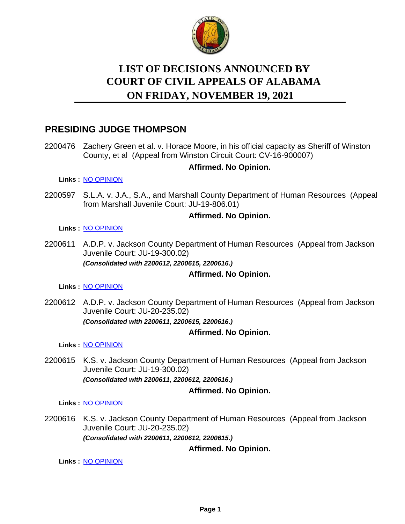

# **LIST OF DECISIONS ANNOUNCED BY ON FRIDAY, NOVEMBER 19, 2021 COURT OF CIVIL APPEALS OF ALABAMA**

# **PRESIDING JUDGE THOMPSON**

2200476 Zachery Green et al. v. Horace Moore, in his official capacity as Sheriff of Winston County, et al (Appeal from Winston Circuit Court: CV-16-900007)

# **Affirmed. No Opinion.**

**Links :** [NO OPINION](https://acis.alabama.gov/displaydocs.cfm?no=1108227&event=6720J5D4D)

2200597 S.L.A. v. J.A., S.A., and Marshall County Department of Human Resources (Appeal from Marshall Juvenile Court: JU-19-806.01)

### **Affirmed. No Opinion.**

#### **Links :** [NO OPINION](https://acis.alabama.gov/displaydocs.cfm?no=1108230&event=6720J5DNE)

2200611 A.D.P. v. Jackson County Department of Human Resources (Appeal from Jackson Juvenile Court: JU-19-300.02) *(Consolidated with 2200612, 2200615, 2200616.)*

# **Affirmed. No Opinion.**

**Links :** [NO OPINION](https://acis.alabama.gov/displaydocs.cfm?no=1108231&event=6720J5DPY)

2200612 A.D.P. v. Jackson County Department of Human Resources (Appeal from Jackson Juvenile Court: JU-20-235.02) *(Consolidated with 2200611, 2200615, 2200616.)*

# **Affirmed. No Opinion.**

**Links :** [NO OPINION](https://acis.alabama.gov/displaydocs.cfm?no=1108231&event=6720J5DPY)

2200615 K.S. v. Jackson County Department of Human Resources (Appeal from Jackson Juvenile Court: JU-19-300.02) *(Consolidated with 2200611, 2200612, 2200616.)*

#### **Affirmed. No Opinion.**

**Links :** [NO OPINION](https://acis.alabama.gov/displaydocs.cfm?no=1108231&event=6720J5DPY)

2200616 K.S. v. Jackson County Department of Human Resources (Appeal from Jackson Juvenile Court: JU-20-235.02) *(Consolidated with 2200611, 2200612, 2200615.)*

# **Affirmed. No Opinion.**

**Links :** [NO OPINION](https://acis.alabama.gov/displaydocs.cfm?no=1108231&event=6720J5DPY)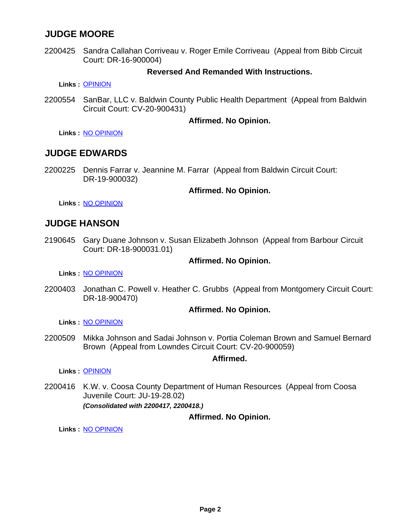# **JUDGE MOORE**

2200425 Sandra Callahan Corriveau v. Roger Emile Corriveau (Appeal from Bibb Circuit Court: DR-16-900004)

## **Reversed And Remanded With Instructions.**

**Links :** [OPINION](https://acis.alabama.gov/displaydocs.cfm?no=1108220&event=6720J5C51)

2200554 SanBar, LLC v. Baldwin County Public Health Department (Appeal from Baldwin Circuit Court: CV-20-900431)

#### **Affirmed. No Opinion.**

**Links :** [NO OPINION](https://acis.alabama.gov/displaydocs.cfm?no=1108229&event=6720J5DKN)

# **JUDGE EDWARDS**

2200225 Dennis Farrar v. Jeannine M. Farrar (Appeal from Baldwin Circuit Court: DR-19-900032)

#### **Affirmed. No Opinion.**

**Links :** [NO OPINION](https://acis.alabama.gov/displaydocs.cfm?no=1108224&event=6720J5CJI)

# **JUDGE HANSON**

2190645 Gary Duane Johnson v. Susan Elizabeth Johnson (Appeal from Barbour Circuit Court: DR-18-900031.01)

#### **Affirmed. No Opinion.**

**Links :** [NO OPINION](https://acis.alabama.gov/displaydocs.cfm?no=1108223&event=6720J5CG0)

2200403 Jonathan C. Powell v. Heather C. Grubbs (Appeal from Montgomery Circuit Court: DR-18-900470)

#### **Affirmed. No Opinion.**

**Links :** [NO OPINION](https://acis.alabama.gov/displaydocs.cfm?no=1108225&event=6720J5CN7)

2200509 Mikka Johnson and Sadai Johnson v. Portia Coleman Brown and Samuel Bernard Brown (Appeal from Lowndes Circuit Court: CV-20-900059)

**Affirmed.**

**Links :** [OPINION](https://acis.alabama.gov/displaydocs.cfm?no=1108221&event=6720J5C9T)

2200416 K.W. v. Coosa County Department of Human Resources (Appeal from Coosa Juvenile Court: JU-19-28.02) *(Consolidated with 2200417, 2200418.)*

**Affirmed. No Opinion.**

**Links :** [NO OPINION](https://acis.alabama.gov/displaydocs.cfm?no=1108226&event=6720J5CQF)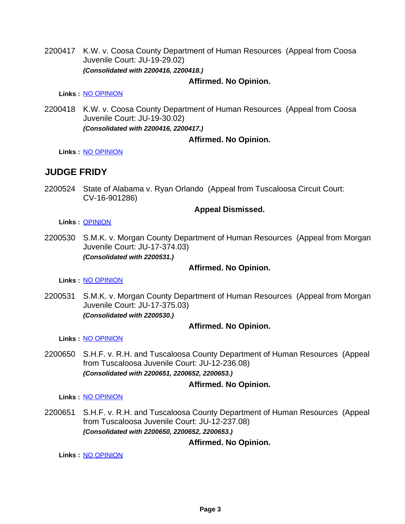2200417 K.W. v. Coosa County Department of Human Resources (Appeal from Coosa Juvenile Court: JU-19-29.02) *(Consolidated with 2200416, 2200418.)*

## **Affirmed. No Opinion.**

**Links :** [NO OPINION](https://acis.alabama.gov/displaydocs.cfm?no=1108226&event=6720J5CQF)

2200418 K.W. v. Coosa County Department of Human Resources (Appeal from Coosa Juvenile Court: JU-19-30.02) *(Consolidated with 2200416, 2200417.)*

### **Affirmed. No Opinion.**

**Links :** [NO OPINION](https://acis.alabama.gov/displaydocs.cfm?no=1108226&event=6720J5CQF)

# **JUDGE FRIDY**

2200524 State of Alabama v. Ryan Orlando (Appeal from Tuscaloosa Circuit Court: CV-16-901286)

### **Appeal Dismissed.**

**Links :** [OPINION](https://acis.alabama.gov/displaydocs.cfm?no=1108222&event=6720J5CCX)

2200530 S.M.K. v. Morgan County Department of Human Resources (Appeal from Morgan Juvenile Court: JU-17-374.03) *(Consolidated with 2200531.)*

#### **Affirmed. No Opinion.**

**Links :** [NO OPINION](https://acis.alabama.gov/displaydocs.cfm?no=1108228&event=6720J5D7L)

2200531 S.M.K. v. Morgan County Department of Human Resources (Appeal from Morgan Juvenile Court: JU-17-375.03) *(Consolidated with 2200530.)*

# **Affirmed. No Opinion.**

**Links :** [NO OPINION](https://acis.alabama.gov/displaydocs.cfm?no=1108228&event=6720J5D7L)

2200650 S.H.F. v. R.H. and Tuscaloosa County Department of Human Resources (Appeal from Tuscaloosa Juvenile Court: JU-12-236.08) *(Consolidated with 2200651, 2200652, 2200653.)*

# **Affirmed. No Opinion.**

**Links :** [NO OPINION](https://acis.alabama.gov/displaydocs.cfm?no=1108232&event=6720J5DTW)

2200651 S.H.F. v. R.H. and Tuscaloosa County Department of Human Resources (Appeal from Tuscaloosa Juvenile Court: JU-12-237.08) *(Consolidated with 2200650, 2200652, 2200653.)*

# **Affirmed. No Opinion.**

**Links :** [NO OPINION](https://acis.alabama.gov/displaydocs.cfm?no=1108232&event=6720J5DTW)